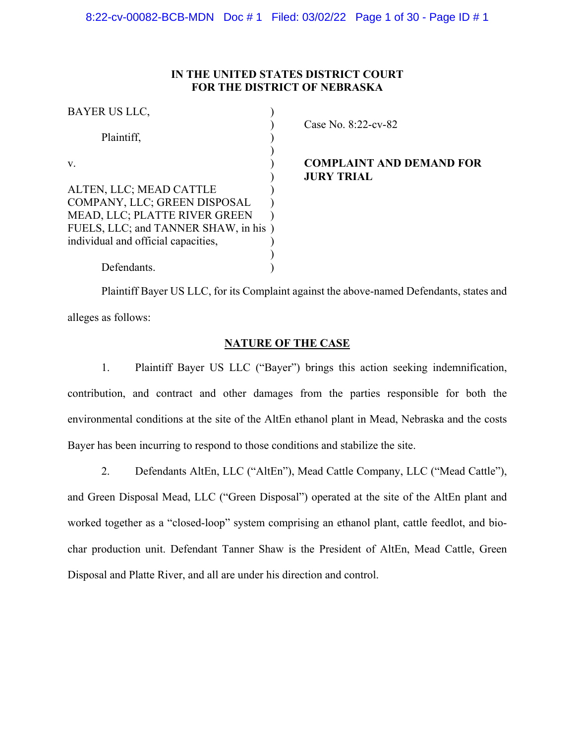# **IN THE UNITED STATES DISTRICT COURT FOR THE DISTRICT OF NEBRASKA**

| BAYER US LLC,                                                                                                                                                           |  |
|-------------------------------------------------------------------------------------------------------------------------------------------------------------------------|--|
| Plaintiff,                                                                                                                                                              |  |
| V.                                                                                                                                                                      |  |
| ALTEN, LLC; MEAD CATTLE<br>COMPANY, LLC; GREEN DISPOSAL<br>MEAD, LLC; PLATTE RIVER GREEN<br>FUELS, LLC; and TANNER SHAW, in his)<br>individual and official capacities, |  |
| Defendants.                                                                                                                                                             |  |

) Case No. 8:22-cv-82

# **COMPLAINT AND DEMAND FOR** ) **JURY TRIAL**

Plaintiff Bayer US LLC, for its Complaint against the above-named Defendants, states and alleges as follows:

# **NATURE OF THE CASE**

1. Plaintiff Bayer US LLC ("Bayer") brings this action seeking indemnification, contribution, and contract and other damages from the parties responsible for both the environmental conditions at the site of the AltEn ethanol plant in Mead, Nebraska and the costs Bayer has been incurring to respond to those conditions and stabilize the site.

2. Defendants AltEn, LLC ("AltEn"), Mead Cattle Company, LLC ("Mead Cattle"),

and Green Disposal Mead, LLC ("Green Disposal") operated at the site of the AltEn plant and worked together as a "closed-loop" system comprising an ethanol plant, cattle feedlot, and biochar production unit. Defendant Tanner Shaw is the President of AltEn, Mead Cattle, Green Disposal and Platte River, and all are under his direction and control.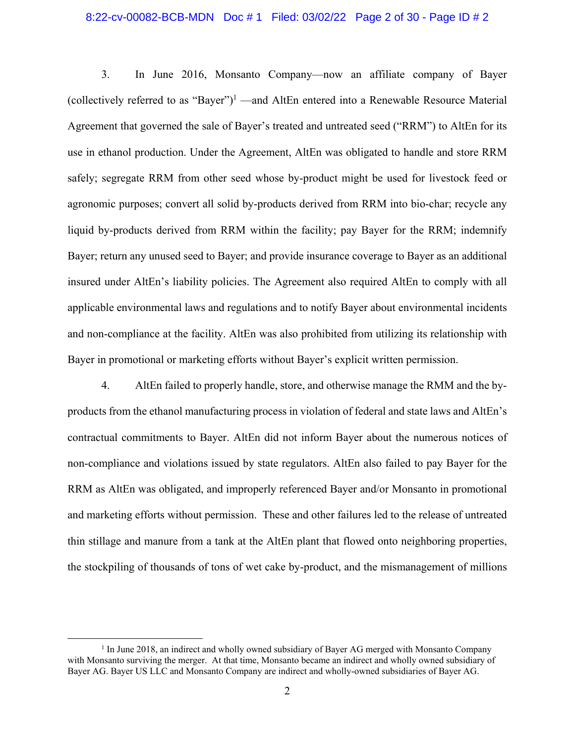### 8:22-cv-00082-BCB-MDN Doc # 1 Filed: 03/02/22 Page 2 of 30 - Page ID # 2

3. In June 2016, Monsanto Company—now an affiliate company of Bayer (collectively referred to as "Bayer")<sup>1</sup> —and AltEn entered into a Renewable Resource Material Agreement that governed the sale of Bayer's treated and untreated seed ("RRM") to AltEn for its use in ethanol production. Under the Agreement, AltEn was obligated to handle and store RRM safely; segregate RRM from other seed whose by-product might be used for livestock feed or agronomic purposes; convert all solid by-products derived from RRM into bio-char; recycle any liquid by-products derived from RRM within the facility; pay Bayer for the RRM; indemnify Bayer; return any unused seed to Bayer; and provide insurance coverage to Bayer as an additional insured under AltEn's liability policies. The Agreement also required AltEn to comply with all applicable environmental laws and regulations and to notify Bayer about environmental incidents and non-compliance at the facility. AltEn was also prohibited from utilizing its relationship with Bayer in promotional or marketing efforts without Bayer's explicit written permission.

4. AltEn failed to properly handle, store, and otherwise manage the RMM and the byproducts from the ethanol manufacturing process in violation of federal and state laws and AltEn's contractual commitments to Bayer. AltEn did not inform Bayer about the numerous notices of non-compliance and violations issued by state regulators. AltEn also failed to pay Bayer for the RRM as AltEn was obligated, and improperly referenced Bayer and/or Monsanto in promotional and marketing efforts without permission. These and other failures led to the release of untreated thin stillage and manure from a tank at the AltEn plant that flowed onto neighboring properties, the stockpiling of thousands of tons of wet cake by-product, and the mismanagement of millions

<sup>&</sup>lt;u>1</u>  $<sup>1</sup>$  In June 2018, an indirect and wholly owned subsidiary of Bayer AG merged with Monsanto Company</sup> with Monsanto surviving the merger. At that time, Monsanto became an indirect and wholly owned subsidiary of Bayer AG. Bayer US LLC and Monsanto Company are indirect and wholly-owned subsidiaries of Bayer AG.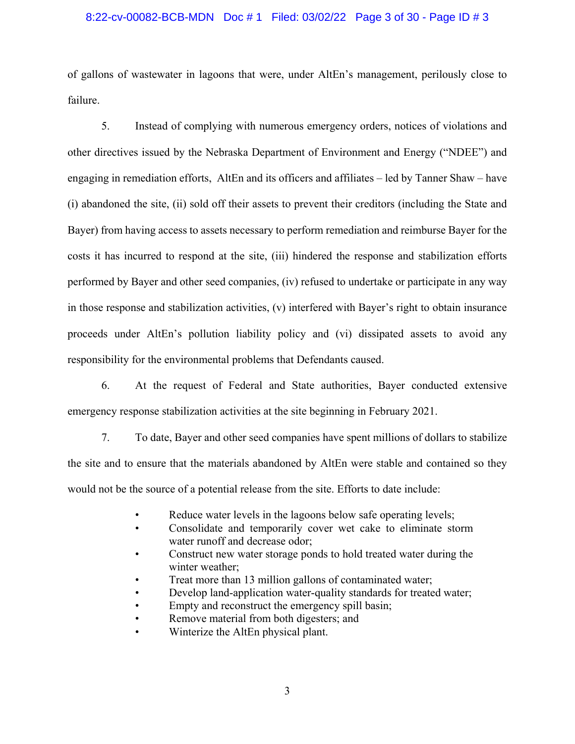### 8:22-cv-00082-BCB-MDN Doc # 1 Filed: 03/02/22 Page 3 of 30 - Page ID # 3

of gallons of wastewater in lagoons that were, under AltEn's management, perilously close to failure.

5. Instead of complying with numerous emergency orders, notices of violations and other directives issued by the Nebraska Department of Environment and Energy ("NDEE") and engaging in remediation efforts, AltEn and its officers and affiliates – led by Tanner Shaw – have (i) abandoned the site, (ii) sold off their assets to prevent their creditors (including the State and Bayer) from having access to assets necessary to perform remediation and reimburse Bayer for the costs it has incurred to respond at the site, (iii) hindered the response and stabilization efforts performed by Bayer and other seed companies, (iv) refused to undertake or participate in any way in those response and stabilization activities, (v) interfered with Bayer's right to obtain insurance proceeds under AltEn's pollution liability policy and (vi) dissipated assets to avoid any responsibility for the environmental problems that Defendants caused.

6. At the request of Federal and State authorities, Bayer conducted extensive emergency response stabilization activities at the site beginning in February 2021.

7. To date, Bayer and other seed companies have spent millions of dollars to stabilize the site and to ensure that the materials abandoned by AltEn were stable and contained so they would not be the source of a potential release from the site. Efforts to date include:

- Reduce water levels in the lagoons below safe operating levels;
- Consolidate and temporarily cover wet cake to eliminate storm water runoff and decrease odor;
- Construct new water storage ponds to hold treated water during the winter weather;
- Treat more than 13 million gallons of contaminated water;
- Develop land-application water-quality standards for treated water;
- Empty and reconstruct the emergency spill basin;
- Remove material from both digesters; and
- Winterize the AltEn physical plant.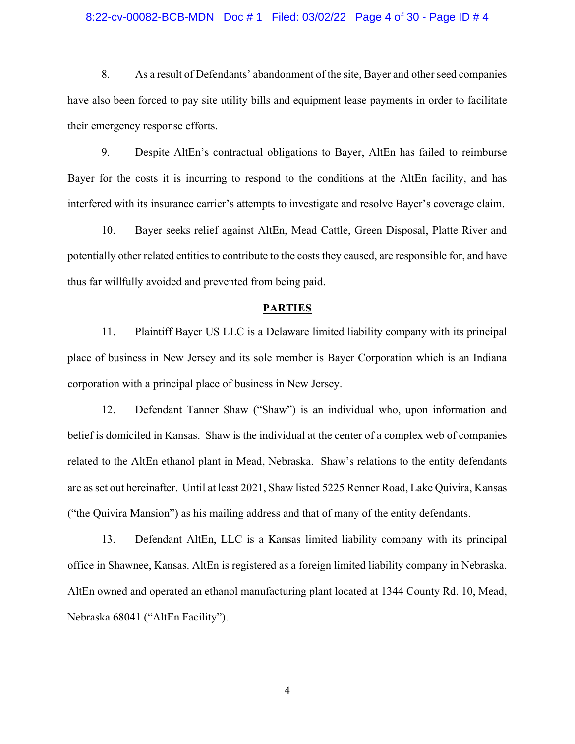### 8:22-cv-00082-BCB-MDN Doc # 1 Filed: 03/02/22 Page 4 of 30 - Page ID # 4

8. As a result of Defendants' abandonment of the site, Bayer and other seed companies have also been forced to pay site utility bills and equipment lease payments in order to facilitate their emergency response efforts.

9. Despite AltEn's contractual obligations to Bayer, AltEn has failed to reimburse Bayer for the costs it is incurring to respond to the conditions at the AltEn facility, and has interfered with its insurance carrier's attempts to investigate and resolve Bayer's coverage claim.

10. Bayer seeks relief against AltEn, Mead Cattle, Green Disposal, Platte River and potentially other related entities to contribute to the costs they caused, are responsible for, and have thus far willfully avoided and prevented from being paid.

## **PARTIES**

11. Plaintiff Bayer US LLC is a Delaware limited liability company with its principal place of business in New Jersey and its sole member is Bayer Corporation which is an Indiana corporation with a principal place of business in New Jersey.

12. Defendant Tanner Shaw ("Shaw") is an individual who, upon information and belief is domiciled in Kansas. Shaw is the individual at the center of a complex web of companies related to the AltEn ethanol plant in Mead, Nebraska. Shaw's relations to the entity defendants are as set out hereinafter. Until at least 2021, Shaw listed 5225 Renner Road, Lake Quivira, Kansas ("the Quivira Mansion") as his mailing address and that of many of the entity defendants.

13. Defendant AltEn, LLC is a Kansas limited liability company with its principal office in Shawnee, Kansas. AltEn is registered as a foreign limited liability company in Nebraska. AltEn owned and operated an ethanol manufacturing plant located at 1344 County Rd. 10, Mead, Nebraska 68041 ("AltEn Facility").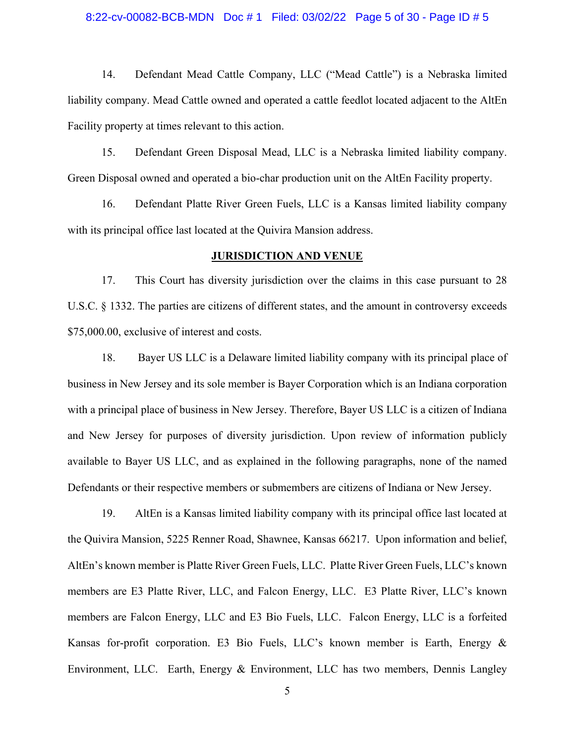### 8:22-cv-00082-BCB-MDN Doc # 1 Filed: 03/02/22 Page 5 of 30 - Page ID # 5

14. Defendant Mead Cattle Company, LLC ("Mead Cattle") is a Nebraska limited liability company. Mead Cattle owned and operated a cattle feedlot located adjacent to the AltEn Facility property at times relevant to this action.

15. Defendant Green Disposal Mead, LLC is a Nebraska limited liability company. Green Disposal owned and operated a bio-char production unit on the AltEn Facility property.

16. Defendant Platte River Green Fuels, LLC is a Kansas limited liability company with its principal office last located at the Quivira Mansion address.

## **JURISDICTION AND VENUE**

17. This Court has diversity jurisdiction over the claims in this case pursuant to 28 U.S.C. § 1332. The parties are citizens of different states, and the amount in controversy exceeds \$75,000.00, exclusive of interest and costs.

18. Bayer US LLC is a Delaware limited liability company with its principal place of business in New Jersey and its sole member is Bayer Corporation which is an Indiana corporation with a principal place of business in New Jersey. Therefore, Bayer US LLC is a citizen of Indiana and New Jersey for purposes of diversity jurisdiction. Upon review of information publicly available to Bayer US LLC, and as explained in the following paragraphs, none of the named Defendants or their respective members or submembers are citizens of Indiana or New Jersey.

19. AltEn is a Kansas limited liability company with its principal office last located at the Quivira Mansion, 5225 Renner Road, Shawnee, Kansas 66217. Upon information and belief, AltEn's known member is Platte River Green Fuels, LLC. Platte River Green Fuels, LLC's known members are E3 Platte River, LLC, and Falcon Energy, LLC. E3 Platte River, LLC's known members are Falcon Energy, LLC and E3 Bio Fuels, LLC. Falcon Energy, LLC is a forfeited Kansas for-profit corporation. E3 Bio Fuels, LLC's known member is Earth, Energy & Environment, LLC. Earth, Energy & Environment, LLC has two members, Dennis Langley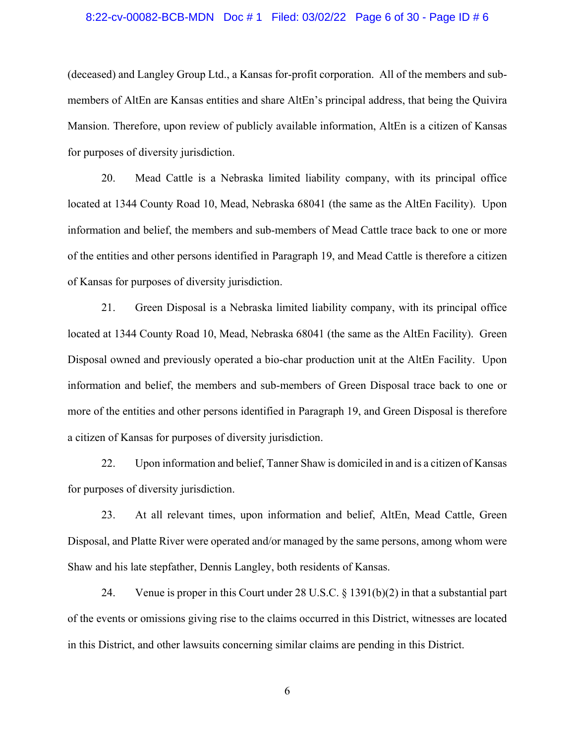### 8:22-cv-00082-BCB-MDN Doc # 1 Filed: 03/02/22 Page 6 of 30 - Page ID # 6

(deceased) and Langley Group Ltd., a Kansas for-profit corporation. All of the members and submembers of AltEn are Kansas entities and share AltEn's principal address, that being the Quivira Mansion. Therefore, upon review of publicly available information, AltEn is a citizen of Kansas for purposes of diversity jurisdiction.

20. Mead Cattle is a Nebraska limited liability company, with its principal office located at 1344 County Road 10, Mead, Nebraska 68041 (the same as the AltEn Facility). Upon information and belief, the members and sub-members of Mead Cattle trace back to one or more of the entities and other persons identified in Paragraph 19, and Mead Cattle is therefore a citizen of Kansas for purposes of diversity jurisdiction.

21. Green Disposal is a Nebraska limited liability company, with its principal office located at 1344 County Road 10, Mead, Nebraska 68041 (the same as the AltEn Facility). Green Disposal owned and previously operated a bio-char production unit at the AltEn Facility. Upon information and belief, the members and sub-members of Green Disposal trace back to one or more of the entities and other persons identified in Paragraph 19, and Green Disposal is therefore a citizen of Kansas for purposes of diversity jurisdiction.

22. Upon information and belief, Tanner Shaw is domiciled in and is a citizen of Kansas for purposes of diversity jurisdiction.

23. At all relevant times, upon information and belief, AltEn, Mead Cattle, Green Disposal, and Platte River were operated and/or managed by the same persons, among whom were Shaw and his late stepfather, Dennis Langley, both residents of Kansas.

24. Venue is proper in this Court under 28 U.S.C. § 1391(b)(2) in that a substantial part of the events or omissions giving rise to the claims occurred in this District, witnesses are located in this District, and other lawsuits concerning similar claims are pending in this District.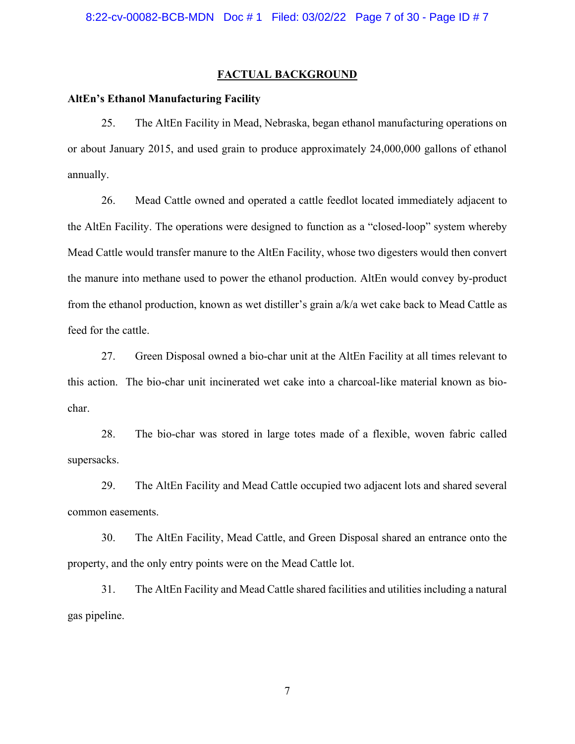# **FACTUAL BACKGROUND**

## **AltEn's Ethanol Manufacturing Facility**

25. The AltEn Facility in Mead, Nebraska, began ethanol manufacturing operations on or about January 2015, and used grain to produce approximately 24,000,000 gallons of ethanol annually.

26. Mead Cattle owned and operated a cattle feedlot located immediately adjacent to the AltEn Facility. The operations were designed to function as a "closed-loop" system whereby Mead Cattle would transfer manure to the AltEn Facility, whose two digesters would then convert the manure into methane used to power the ethanol production. AltEn would convey by-product from the ethanol production, known as wet distiller's grain a/k/a wet cake back to Mead Cattle as feed for the cattle.

27. Green Disposal owned a bio-char unit at the AltEn Facility at all times relevant to this action. The bio-char unit incinerated wet cake into a charcoal-like material known as biochar.

28. The bio-char was stored in large totes made of a flexible, woven fabric called supersacks.

29. The AltEn Facility and Mead Cattle occupied two adjacent lots and shared several common easements.

30. The AltEn Facility, Mead Cattle, and Green Disposal shared an entrance onto the property, and the only entry points were on the Mead Cattle lot.

31. The AltEn Facility and Mead Cattle shared facilities and utilities including a natural gas pipeline.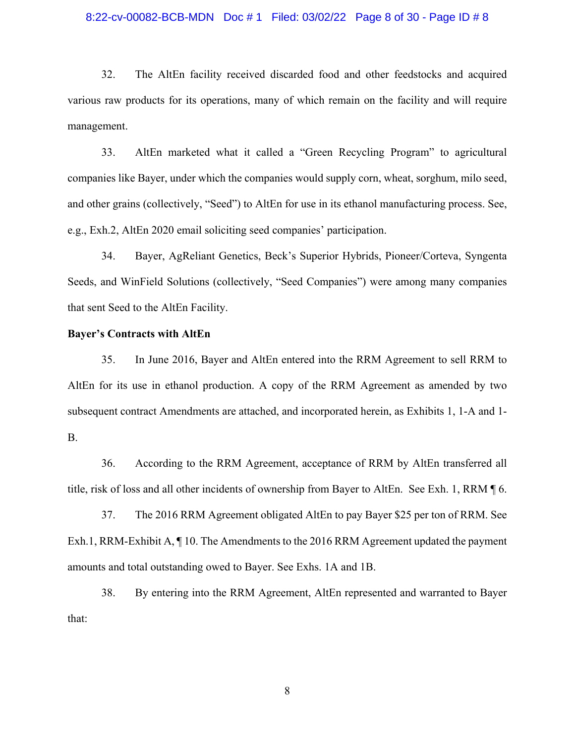#### 8:22-cv-00082-BCB-MDN Doc # 1 Filed: 03/02/22 Page 8 of 30 - Page ID # 8

32. The AltEn facility received discarded food and other feedstocks and acquired various raw products for its operations, many of which remain on the facility and will require management.

33. AltEn marketed what it called a "Green Recycling Program" to agricultural companies like Bayer, under which the companies would supply corn, wheat, sorghum, milo seed, and other grains (collectively, "Seed") to AltEn for use in its ethanol manufacturing process. See, e.g., Exh.2, AltEn 2020 email soliciting seed companies' participation.

34. Bayer, AgReliant Genetics, Beck's Superior Hybrids, Pioneer/Corteva, Syngenta Seeds, and WinField Solutions (collectively, "Seed Companies") were among many companies that sent Seed to the AltEn Facility.

## **Bayer's Contracts with AltEn**

35. In June 2016, Bayer and AltEn entered into the RRM Agreement to sell RRM to AltEn for its use in ethanol production. A copy of the RRM Agreement as amended by two subsequent contract Amendments are attached, and incorporated herein, as Exhibits 1, 1-A and 1- B.

36. According to the RRM Agreement, acceptance of RRM by AltEn transferred all title, risk of loss and all other incidents of ownership from Bayer to AltEn. See Exh. 1, RRM ¶ 6.

37. The 2016 RRM Agreement obligated AltEn to pay Bayer \$25 per ton of RRM. See Exh.1, RRM-Exhibit A, ¶ 10. The Amendments to the 2016 RRM Agreement updated the payment amounts and total outstanding owed to Bayer. See Exhs. 1A and 1B.

38. By entering into the RRM Agreement, AltEn represented and warranted to Bayer that: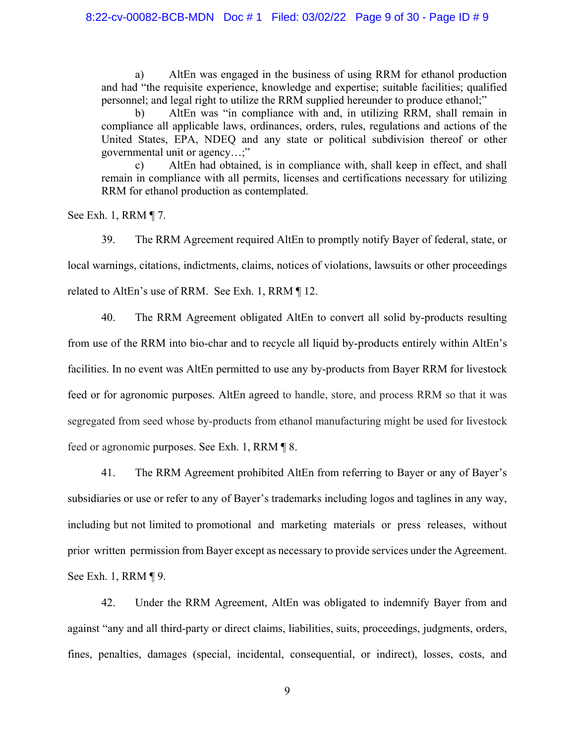a) AltEn was engaged in the business of using RRM for ethanol production and had "the requisite experience, knowledge and expertise; suitable facilities; qualified personnel; and legal right to utilize the RRM supplied hereunder to produce ethanol;"

b) AltEn was "in compliance with and, in utilizing RRM, shall remain in compliance all applicable laws, ordinances, orders, rules, regulations and actions of the United States, EPA, NDEQ and any state or political subdivision thereof or other governmental unit or agency…;"

c) AltEn had obtained, is in compliance with, shall keep in effect, and shall remain in compliance with all permits, licenses and certifications necessary for utilizing RRM for ethanol production as contemplated.

See Exh. 1, RRM ¶ 7.

39. The RRM Agreement required AltEn to promptly notify Bayer of federal, state, or local warnings, citations, indictments, claims, notices of violations, lawsuits or other proceedings related to AltEn's use of RRM. See Exh. 1, RRM ¶ 12.

40. The RRM Agreement obligated AltEn to convert all solid by-products resulting from use of the RRM into bio-char and to recycle all liquid by-products entirely within AltEn's facilities. In no event was AltEn permitted to use any by-products from Bayer RRM for livestock feed or for agronomic purposes. AltEn agreed to handle, store, and process RRM so that it was segregated from seed whose by-products from ethanol manufacturing might be used for livestock feed or agronomic purposes. See Exh. 1, RRM ¶ 8.

41. The RRM Agreement prohibited AltEn from referring to Bayer or any of Bayer's subsidiaries or use or refer to any of Bayer's trademarks including logos and taglines in any way, including but not limited to promotional and marketing materials or press releases, without prior written permission from Bayer except as necessary to provide services under the Agreement. See Exh. 1, RRM ¶ 9.

42. Under the RRM Agreement, AltEn was obligated to indemnify Bayer from and against "any and all third-party or direct claims, liabilities, suits, proceedings, judgments, orders, fines, penalties, damages (special, incidental, consequential, or indirect), losses, costs, and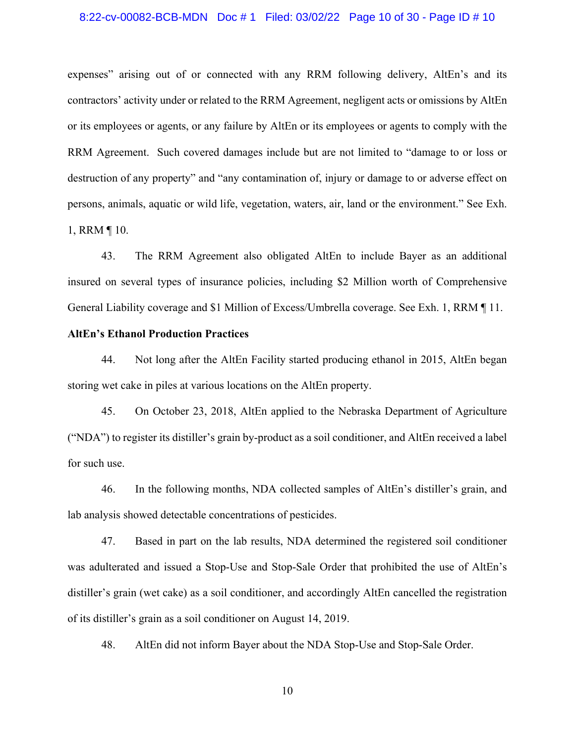## 8:22-cv-00082-BCB-MDN Doc # 1 Filed: 03/02/22 Page 10 of 30 - Page ID # 10

expenses" arising out of or connected with any RRM following delivery, AltEn's and its contractors' activity under or related to the RRM Agreement, negligent acts or omissions by AltEn or its employees or agents, or any failure by AltEn or its employees or agents to comply with the RRM Agreement. Such covered damages include but are not limited to "damage to or loss or destruction of any property" and "any contamination of, injury or damage to or adverse effect on persons, animals, aquatic or wild life, vegetation, waters, air, land or the environment." See Exh. 1, RRM ¶ 10.

43. The RRM Agreement also obligated AltEn to include Bayer as an additional insured on several types of insurance policies, including \$2 Million worth of Comprehensive General Liability coverage and \$1 Million of Excess/Umbrella coverage. See Exh. 1, RRM ¶ 11.

## **AltEn's Ethanol Production Practices**

44. Not long after the AltEn Facility started producing ethanol in 2015, AltEn began storing wet cake in piles at various locations on the AltEn property.

45. On October 23, 2018, AltEn applied to the Nebraska Department of Agriculture ("NDA") to register its distiller's grain by-product as a soil conditioner, and AltEn received a label for such use.

46. In the following months, NDA collected samples of AltEn's distiller's grain, and lab analysis showed detectable concentrations of pesticides.

47. Based in part on the lab results, NDA determined the registered soil conditioner was adulterated and issued a Stop-Use and Stop-Sale Order that prohibited the use of AltEn's distiller's grain (wet cake) as a soil conditioner, and accordingly AltEn cancelled the registration of its distiller's grain as a soil conditioner on August 14, 2019.

48. AltEn did not inform Bayer about the NDA Stop-Use and Stop-Sale Order.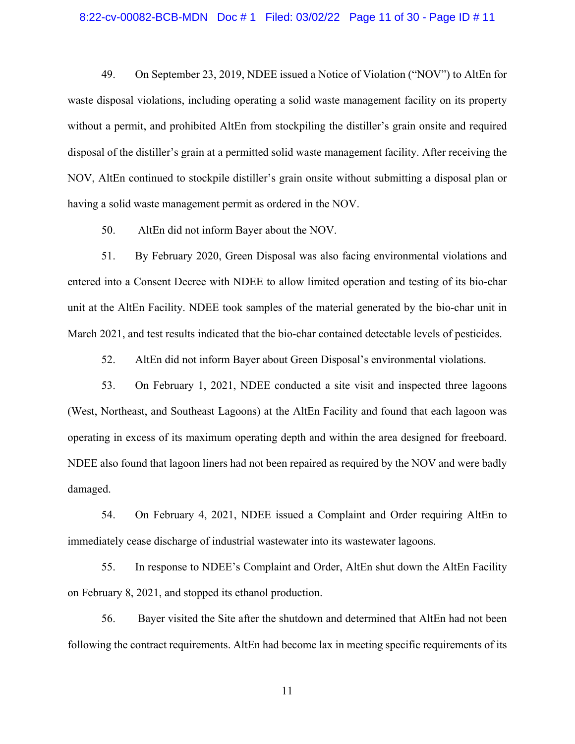### 8:22-cv-00082-BCB-MDN Doc # 1 Filed: 03/02/22 Page 11 of 30 - Page ID # 11

49. On September 23, 2019, NDEE issued a Notice of Violation ("NOV") to AltEn for waste disposal violations, including operating a solid waste management facility on its property without a permit, and prohibited AltEn from stockpiling the distiller's grain onsite and required disposal of the distiller's grain at a permitted solid waste management facility. After receiving the NOV, AltEn continued to stockpile distiller's grain onsite without submitting a disposal plan or having a solid waste management permit as ordered in the NOV.

50. AltEn did not inform Bayer about the NOV.

51. By February 2020, Green Disposal was also facing environmental violations and entered into a Consent Decree with NDEE to allow limited operation and testing of its bio-char unit at the AltEn Facility. NDEE took samples of the material generated by the bio-char unit in March 2021, and test results indicated that the bio-char contained detectable levels of pesticides.

52. AltEn did not inform Bayer about Green Disposal's environmental violations.

53. On February 1, 2021, NDEE conducted a site visit and inspected three lagoons (West, Northeast, and Southeast Lagoons) at the AltEn Facility and found that each lagoon was operating in excess of its maximum operating depth and within the area designed for freeboard. NDEE also found that lagoon liners had not been repaired as required by the NOV and were badly damaged.

54. On February 4, 2021, NDEE issued a Complaint and Order requiring AltEn to immediately cease discharge of industrial wastewater into its wastewater lagoons.

55. In response to NDEE's Complaint and Order, AltEn shut down the AltEn Facility on February 8, 2021, and stopped its ethanol production.

56. Bayer visited the Site after the shutdown and determined that AltEn had not been following the contract requirements. AltEn had become lax in meeting specific requirements of its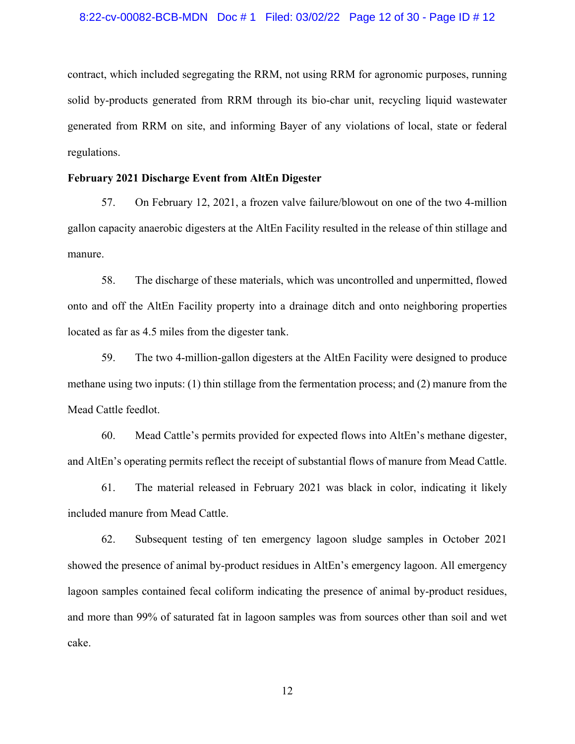### 8:22-cv-00082-BCB-MDN Doc # 1 Filed: 03/02/22 Page 12 of 30 - Page ID # 12

contract, which included segregating the RRM, not using RRM for agronomic purposes, running solid by-products generated from RRM through its bio-char unit, recycling liquid wastewater generated from RRM on site, and informing Bayer of any violations of local, state or federal regulations.

# **February 2021 Discharge Event from AltEn Digester**

57. On February 12, 2021, a frozen valve failure/blowout on one of the two 4-million gallon capacity anaerobic digesters at the AltEn Facility resulted in the release of thin stillage and manure.

58. The discharge of these materials, which was uncontrolled and unpermitted, flowed onto and off the AltEn Facility property into a drainage ditch and onto neighboring properties located as far as 4.5 miles from the digester tank.

59. The two 4-million-gallon digesters at the AltEn Facility were designed to produce methane using two inputs: (1) thin stillage from the fermentation process; and (2) manure from the Mead Cattle feedlot.

60. Mead Cattle's permits provided for expected flows into AltEn's methane digester, and AltEn's operating permits reflect the receipt of substantial flows of manure from Mead Cattle.

61. The material released in February 2021 was black in color, indicating it likely included manure from Mead Cattle.

62. Subsequent testing of ten emergency lagoon sludge samples in October 2021 showed the presence of animal by-product residues in AltEn's emergency lagoon. All emergency lagoon samples contained fecal coliform indicating the presence of animal by-product residues, and more than 99% of saturated fat in lagoon samples was from sources other than soil and wet cake.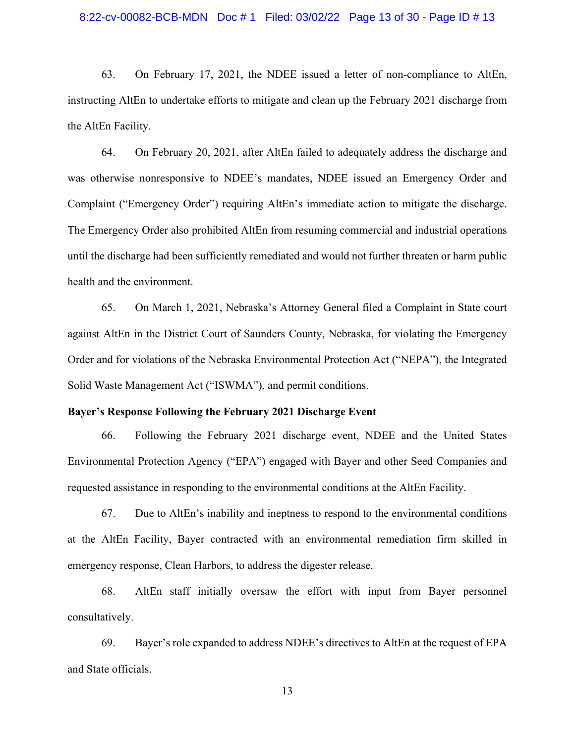### 8:22-cv-00082-BCB-MDN Doc # 1 Filed: 03/02/22 Page 13 of 30 - Page ID # 13

63. On February 17, 2021, the NDEE issued a letter of non-compliance to AltEn, instructing AltEn to undertake efforts to mitigate and clean up the February 2021 discharge from the AltEn Facility.

64. On February 20, 2021, after AltEn failed to adequately address the discharge and was otherwise nonresponsive to NDEE's mandates, NDEE issued an Emergency Order and Complaint ("Emergency Order") requiring AltEn's immediate action to mitigate the discharge. The Emergency Order also prohibited AltEn from resuming commercial and industrial operations until the discharge had been sufficiently remediated and would not further threaten or harm public health and the environment.

65. On March 1, 2021, Nebraska's Attorney General filed a Complaint in State court against AltEn in the District Court of Saunders County, Nebraska, for violating the Emergency Order and for violations of the Nebraska Environmental Protection Act ("NEPA"), the Integrated Solid Waste Management Act ("ISWMA"), and permit conditions.

# **Bayer's Response Following the February 2021 Discharge Event**

66. Following the February 2021 discharge event, NDEE and the United States Environmental Protection Agency ("EPA") engaged with Bayer and other Seed Companies and requested assistance in responding to the environmental conditions at the AltEn Facility.

67. Due to AltEn's inability and ineptness to respond to the environmental conditions at the AltEn Facility, Bayer contracted with an environmental remediation firm skilled in emergency response, Clean Harbors, to address the digester release.

68. AltEn staff initially oversaw the effort with input from Bayer personnel consultatively.

69. Bayer's role expanded to address NDEE's directives to AltEn at the request of EPA and State officials.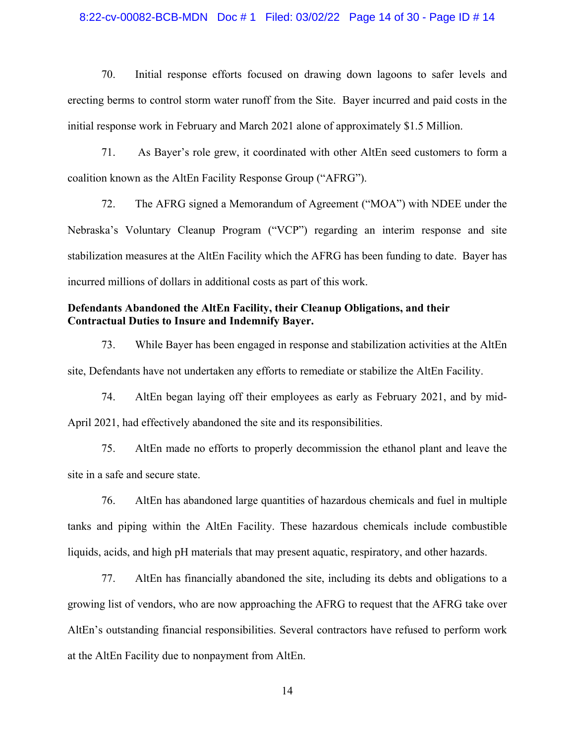## 8:22-cv-00082-BCB-MDN Doc # 1 Filed: 03/02/22 Page 14 of 30 - Page ID # 14

70. Initial response efforts focused on drawing down lagoons to safer levels and erecting berms to control storm water runoff from the Site. Bayer incurred and paid costs in the initial response work in February and March 2021 alone of approximately \$1.5 Million.

71. As Bayer's role grew, it coordinated with other AltEn seed customers to form a coalition known as the AltEn Facility Response Group ("AFRG").

72. The AFRG signed a Memorandum of Agreement ("MOA") with NDEE under the Nebraska's Voluntary Cleanup Program ("VCP") regarding an interim response and site stabilization measures at the AltEn Facility which the AFRG has been funding to date. Bayer has incurred millions of dollars in additional costs as part of this work.

# **Defendants Abandoned the AltEn Facility, their Cleanup Obligations, and their Contractual Duties to Insure and Indemnify Bayer.**

73. While Bayer has been engaged in response and stabilization activities at the AltEn site, Defendants have not undertaken any efforts to remediate or stabilize the AltEn Facility.

74. AltEn began laying off their employees as early as February 2021, and by mid-April 2021, had effectively abandoned the site and its responsibilities.

75. AltEn made no efforts to properly decommission the ethanol plant and leave the site in a safe and secure state.

76. AltEn has abandoned large quantities of hazardous chemicals and fuel in multiple tanks and piping within the AltEn Facility. These hazardous chemicals include combustible liquids, acids, and high pH materials that may present aquatic, respiratory, and other hazards.

77. AltEn has financially abandoned the site, including its debts and obligations to a growing list of vendors, who are now approaching the AFRG to request that the AFRG take over AltEn's outstanding financial responsibilities. Several contractors have refused to perform work at the AltEn Facility due to nonpayment from AltEn.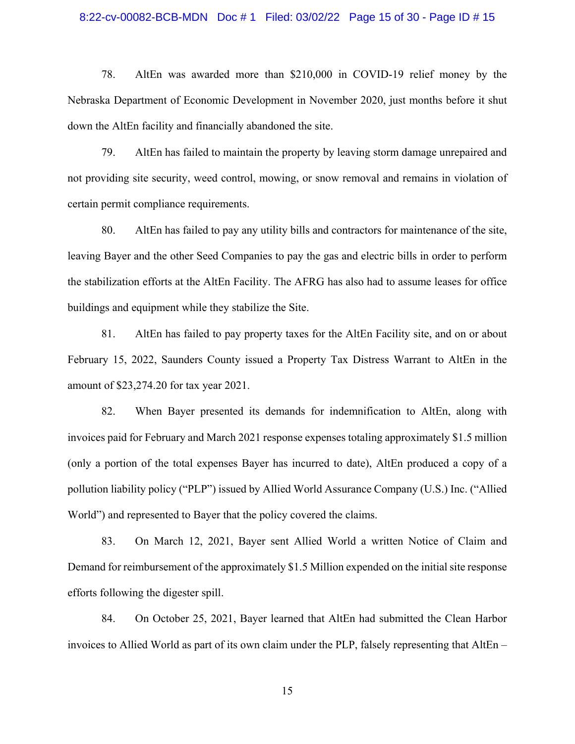#### 8:22-cv-00082-BCB-MDN Doc # 1 Filed: 03/02/22 Page 15 of 30 - Page ID # 15

78. AltEn was awarded more than \$210,000 in COVID-19 relief money by the Nebraska Department of Economic Development in November 2020, just months before it shut down the AltEn facility and financially abandoned the site.

79. AltEn has failed to maintain the property by leaving storm damage unrepaired and not providing site security, weed control, mowing, or snow removal and remains in violation of certain permit compliance requirements.

80. AltEn has failed to pay any utility bills and contractors for maintenance of the site, leaving Bayer and the other Seed Companies to pay the gas and electric bills in order to perform the stabilization efforts at the AltEn Facility. The AFRG has also had to assume leases for office buildings and equipment while they stabilize the Site.

81. AltEn has failed to pay property taxes for the AltEn Facility site, and on or about February 15, 2022, Saunders County issued a Property Tax Distress Warrant to AltEn in the amount of \$23,274.20 for tax year 2021.

82. When Bayer presented its demands for indemnification to AltEn, along with invoices paid for February and March 2021 response expenses totaling approximately \$1.5 million (only a portion of the total expenses Bayer has incurred to date), AltEn produced a copy of a pollution liability policy ("PLP") issued by Allied World Assurance Company (U.S.) Inc. ("Allied World") and represented to Bayer that the policy covered the claims.

83. On March 12, 2021, Bayer sent Allied World a written Notice of Claim and Demand for reimbursement of the approximately \$1.5 Million expended on the initial site response efforts following the digester spill.

84. On October 25, 2021, Bayer learned that AltEn had submitted the Clean Harbor invoices to Allied World as part of its own claim under the PLP, falsely representing that AltEn –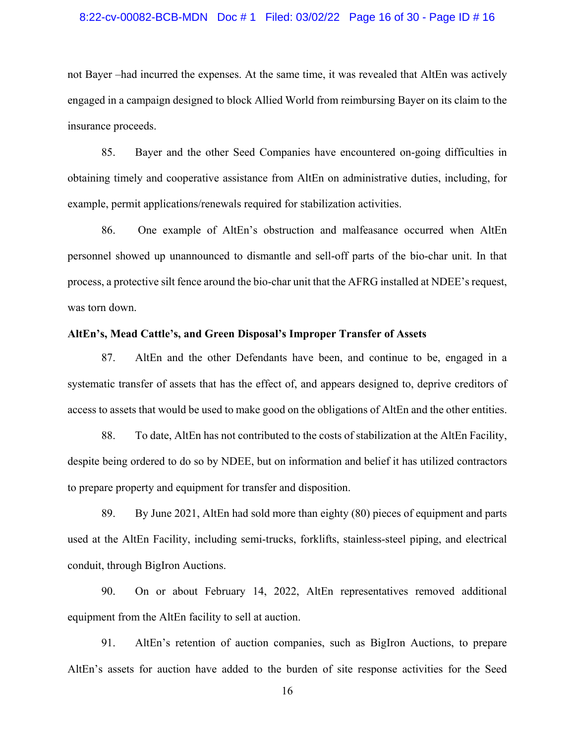### 8:22-cv-00082-BCB-MDN Doc # 1 Filed: 03/02/22 Page 16 of 30 - Page ID # 16

not Bayer –had incurred the expenses. At the same time, it was revealed that AltEn was actively engaged in a campaign designed to block Allied World from reimbursing Bayer on its claim to the insurance proceeds.

85. Bayer and the other Seed Companies have encountered on-going difficulties in obtaining timely and cooperative assistance from AltEn on administrative duties, including, for example, permit applications/renewals required for stabilization activities.

86. One example of AltEn's obstruction and malfeasance occurred when AltEn personnel showed up unannounced to dismantle and sell-off parts of the bio-char unit. In that process, a protective silt fence around the bio-char unit that the AFRG installed at NDEE's request, was torn down.

## **AltEn's, Mead Cattle's, and Green Disposal's Improper Transfer of Assets**

87. AltEn and the other Defendants have been, and continue to be, engaged in a systematic transfer of assets that has the effect of, and appears designed to, deprive creditors of access to assets that would be used to make good on the obligations of AltEn and the other entities.

88. To date, AltEn has not contributed to the costs of stabilization at the AltEn Facility, despite being ordered to do so by NDEE, but on information and belief it has utilized contractors to prepare property and equipment for transfer and disposition.

89. By June 2021, AltEn had sold more than eighty (80) pieces of equipment and parts used at the AltEn Facility, including semi-trucks, forklifts, stainless-steel piping, and electrical conduit, through BigIron Auctions.

90. On or about February 14, 2022, AltEn representatives removed additional equipment from the AltEn facility to sell at auction.

91. AltEn's retention of auction companies, such as BigIron Auctions, to prepare AltEn's assets for auction have added to the burden of site response activities for the Seed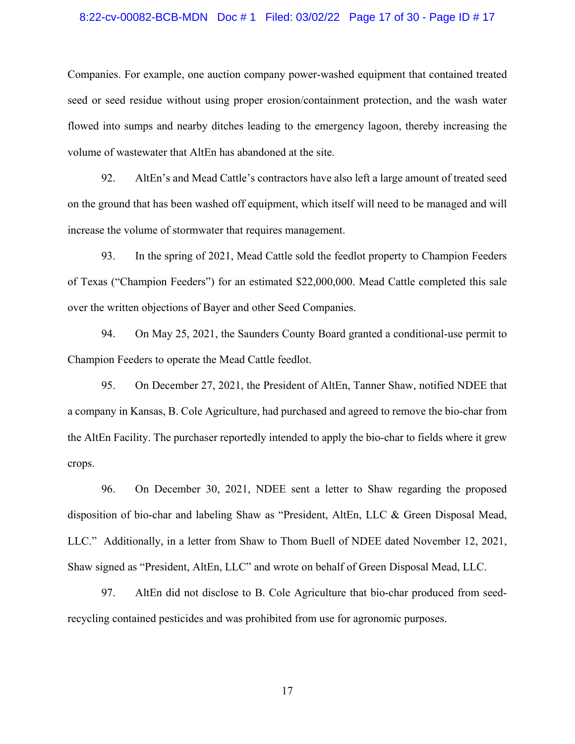#### 8:22-cv-00082-BCB-MDN Doc # 1 Filed: 03/02/22 Page 17 of 30 - Page ID # 17

Companies. For example, one auction company power-washed equipment that contained treated seed or seed residue without using proper erosion/containment protection, and the wash water flowed into sumps and nearby ditches leading to the emergency lagoon, thereby increasing the volume of wastewater that AltEn has abandoned at the site.

92. AltEn's and Mead Cattle's contractors have also left a large amount of treated seed on the ground that has been washed off equipment, which itself will need to be managed and will increase the volume of stormwater that requires management.

93. In the spring of 2021, Mead Cattle sold the feedlot property to Champion Feeders of Texas ("Champion Feeders") for an estimated \$22,000,000. Mead Cattle completed this sale over the written objections of Bayer and other Seed Companies.

94. On May 25, 2021, the Saunders County Board granted a conditional-use permit to Champion Feeders to operate the Mead Cattle feedlot.

95. On December 27, 2021, the President of AltEn, Tanner Shaw, notified NDEE that a company in Kansas, B. Cole Agriculture, had purchased and agreed to remove the bio-char from the AltEn Facility. The purchaser reportedly intended to apply the bio-char to fields where it grew crops.

96. On December 30, 2021, NDEE sent a letter to Shaw regarding the proposed disposition of bio-char and labeling Shaw as "President, AltEn, LLC & Green Disposal Mead, LLC." Additionally, in a letter from Shaw to Thom Buell of NDEE dated November 12, 2021, Shaw signed as "President, AltEn, LLC" and wrote on behalf of Green Disposal Mead, LLC.

97. AltEn did not disclose to B. Cole Agriculture that bio-char produced from seedrecycling contained pesticides and was prohibited from use for agronomic purposes.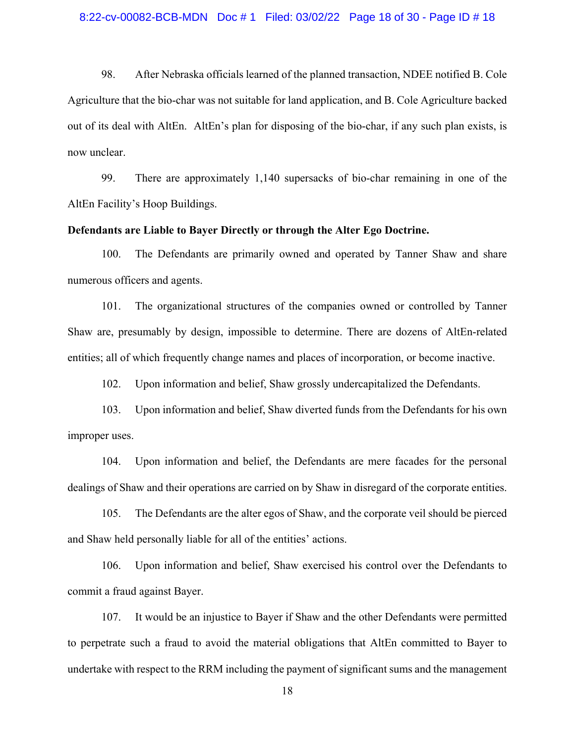98. After Nebraska officials learned of the planned transaction, NDEE notified B. Cole Agriculture that the bio-char was not suitable for land application, and B. Cole Agriculture backed out of its deal with AltEn. AltEn's plan for disposing of the bio-char, if any such plan exists, is now unclear.

99. There are approximately 1,140 supersacks of bio-char remaining in one of the AltEn Facility's Hoop Buildings.

# **Defendants are Liable to Bayer Directly or through the Alter Ego Doctrine.**

100. The Defendants are primarily owned and operated by Tanner Shaw and share numerous officers and agents.

101. The organizational structures of the companies owned or controlled by Tanner Shaw are, presumably by design, impossible to determine. There are dozens of AltEn-related entities; all of which frequently change names and places of incorporation, or become inactive.

102. Upon information and belief, Shaw grossly undercapitalized the Defendants.

103. Upon information and belief, Shaw diverted funds from the Defendants for his own improper uses.

104. Upon information and belief, the Defendants are mere facades for the personal dealings of Shaw and their operations are carried on by Shaw in disregard of the corporate entities.

105. The Defendants are the alter egos of Shaw, and the corporate veil should be pierced and Shaw held personally liable for all of the entities' actions.

106. Upon information and belief, Shaw exercised his control over the Defendants to commit a fraud against Bayer.

107. It would be an injustice to Bayer if Shaw and the other Defendants were permitted to perpetrate such a fraud to avoid the material obligations that AltEn committed to Bayer to undertake with respect to the RRM including the payment of significant sums and the management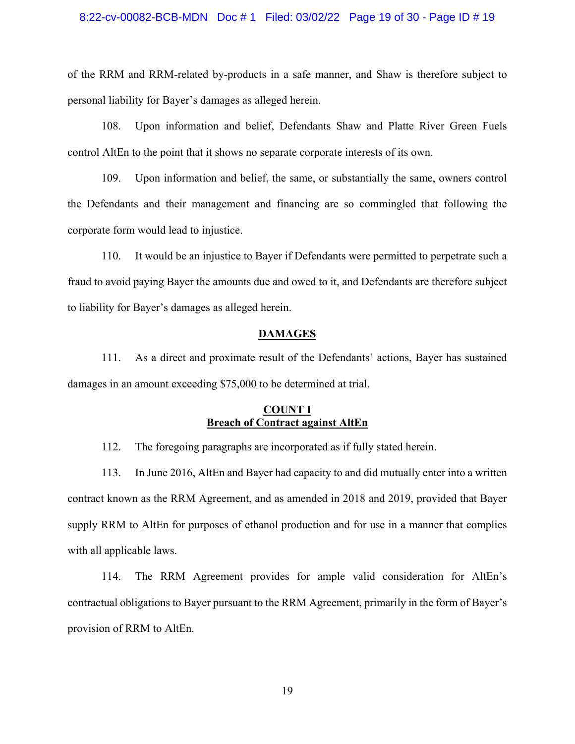## 8:22-cv-00082-BCB-MDN Doc # 1 Filed: 03/02/22 Page 19 of 30 - Page ID # 19

of the RRM and RRM-related by-products in a safe manner, and Shaw is therefore subject to personal liability for Bayer's damages as alleged herein.

108. Upon information and belief, Defendants Shaw and Platte River Green Fuels control AltEn to the point that it shows no separate corporate interests of its own.

109. Upon information and belief, the same, or substantially the same, owners control the Defendants and their management and financing are so commingled that following the corporate form would lead to injustice.

110. It would be an injustice to Bayer if Defendants were permitted to perpetrate such a fraud to avoid paying Bayer the amounts due and owed to it, and Defendants are therefore subject to liability for Bayer's damages as alleged herein.

# **DAMAGES**

111. As a direct and proximate result of the Defendants' actions, Bayer has sustained damages in an amount exceeding \$75,000 to be determined at trial.

# **COUNT I Breach of Contract against AltEn**

112. The foregoing paragraphs are incorporated as if fully stated herein.

113. In June 2016, AltEn and Bayer had capacity to and did mutually enter into a written contract known as the RRM Agreement, and as amended in 2018 and 2019, provided that Bayer supply RRM to AltEn for purposes of ethanol production and for use in a manner that complies with all applicable laws.

114. The RRM Agreement provides for ample valid consideration for AltEn's contractual obligations to Bayer pursuant to the RRM Agreement, primarily in the form of Bayer's provision of RRM to AltEn.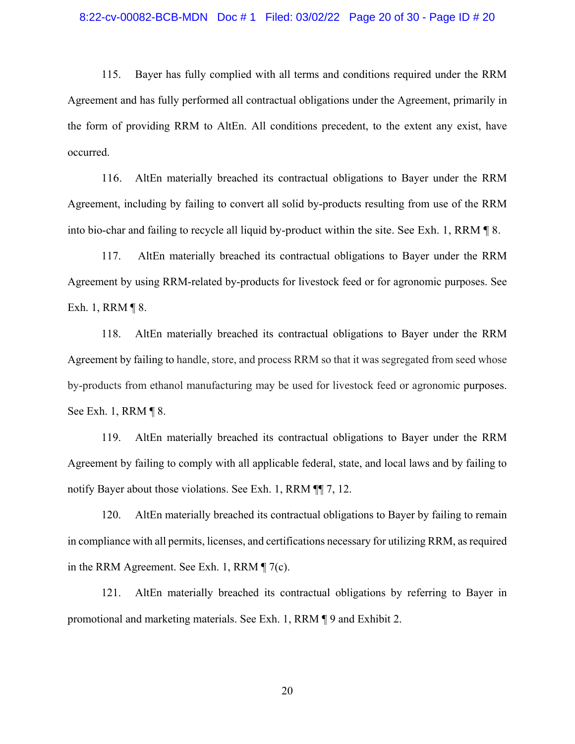115. Bayer has fully complied with all terms and conditions required under the RRM Agreement and has fully performed all contractual obligations under the Agreement, primarily in the form of providing RRM to AltEn. All conditions precedent, to the extent any exist, have occurred.

116. AltEn materially breached its contractual obligations to Bayer under the RRM Agreement, including by failing to convert all solid by-products resulting from use of the RRM into bio-char and failing to recycle all liquid by-product within the site. See Exh. 1, RRM ¶ 8.

117. AltEn materially breached its contractual obligations to Bayer under the RRM Agreement by using RRM-related by-products for livestock feed or for agronomic purposes. See Exh. 1, RRM ¶ 8.

118. AltEn materially breached its contractual obligations to Bayer under the RRM Agreement by failing to handle, store, and process RRM so that it was segregated from seed whose by-products from ethanol manufacturing may be used for livestock feed or agronomic purposes. See Exh. 1, RRM ¶ 8.

119. AltEn materially breached its contractual obligations to Bayer under the RRM Agreement by failing to comply with all applicable federal, state, and local laws and by failing to notify Bayer about those violations. See Exh. 1, RRM  $\P$  7, 12.

120. AltEn materially breached its contractual obligations to Bayer by failing to remain in compliance with all permits, licenses, and certifications necessary for utilizing RRM, as required in the RRM Agreement. See Exh. 1, RRM ¶ 7(c).

121. AltEn materially breached its contractual obligations by referring to Bayer in promotional and marketing materials. See Exh. 1, RRM ¶ 9 and Exhibit 2.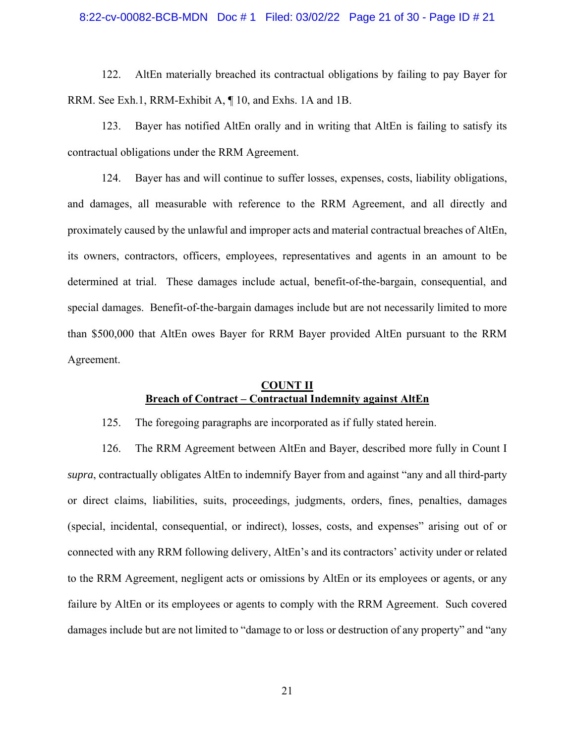#### 8:22-cv-00082-BCB-MDN Doc # 1 Filed: 03/02/22 Page 21 of 30 - Page ID # 21

122. AltEn materially breached its contractual obligations by failing to pay Bayer for RRM. See Exh.1, RRM-Exhibit A, ¶ 10, and Exhs. 1A and 1B.

123. Bayer has notified AltEn orally and in writing that AltEn is failing to satisfy its contractual obligations under the RRM Agreement.

124. Bayer has and will continue to suffer losses, expenses, costs, liability obligations, and damages, all measurable with reference to the RRM Agreement, and all directly and proximately caused by the unlawful and improper acts and material contractual breaches of AltEn, its owners, contractors, officers, employees, representatives and agents in an amount to be determined at trial. These damages include actual, benefit-of-the-bargain, consequential, and special damages. Benefit-of-the-bargain damages include but are not necessarily limited to more than \$500,000 that AltEn owes Bayer for RRM Bayer provided AltEn pursuant to the RRM Agreement.

# **COUNT II Breach of Contract – Contractual Indemnity against AltEn**

125. The foregoing paragraphs are incorporated as if fully stated herein.

126. The RRM Agreement between AltEn and Bayer, described more fully in Count I *supra*, contractually obligates AltEn to indemnify Bayer from and against "any and all third-party or direct claims, liabilities, suits, proceedings, judgments, orders, fines, penalties, damages (special, incidental, consequential, or indirect), losses, costs, and expenses" arising out of or connected with any RRM following delivery, AltEn's and its contractors' activity under or related to the RRM Agreement, negligent acts or omissions by AltEn or its employees or agents, or any failure by AltEn or its employees or agents to comply with the RRM Agreement. Such covered damages include but are not limited to "damage to or loss or destruction of any property" and "any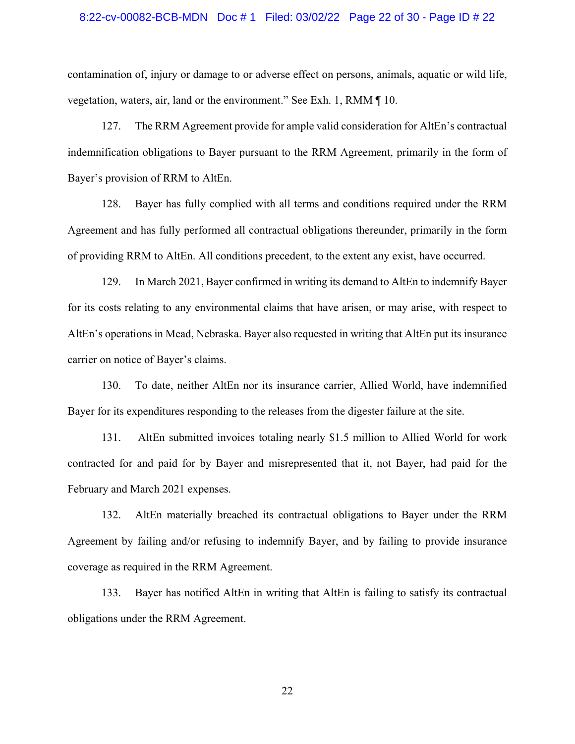### 8:22-cv-00082-BCB-MDN Doc # 1 Filed: 03/02/22 Page 22 of 30 - Page ID # 22

contamination of, injury or damage to or adverse effect on persons, animals, aquatic or wild life, vegetation, waters, air, land or the environment." See Exh. 1, RMM ¶ 10.

127. The RRM Agreement provide for ample valid consideration for AltEn's contractual indemnification obligations to Bayer pursuant to the RRM Agreement, primarily in the form of Bayer's provision of RRM to AltEn.

128. Bayer has fully complied with all terms and conditions required under the RRM Agreement and has fully performed all contractual obligations thereunder, primarily in the form of providing RRM to AltEn. All conditions precedent, to the extent any exist, have occurred.

129. In March 2021, Bayer confirmed in writing its demand to AltEn to indemnify Bayer for its costs relating to any environmental claims that have arisen, or may arise, with respect to AltEn's operations in Mead, Nebraska. Bayer also requested in writing that AltEn put its insurance carrier on notice of Bayer's claims.

130. To date, neither AltEn nor its insurance carrier, Allied World, have indemnified Bayer for its expenditures responding to the releases from the digester failure at the site.

131. AltEn submitted invoices totaling nearly \$1.5 million to Allied World for work contracted for and paid for by Bayer and misrepresented that it, not Bayer, had paid for the February and March 2021 expenses.

132. AltEn materially breached its contractual obligations to Bayer under the RRM Agreement by failing and/or refusing to indemnify Bayer, and by failing to provide insurance coverage as required in the RRM Agreement.

133. Bayer has notified AltEn in writing that AltEn is failing to satisfy its contractual obligations under the RRM Agreement.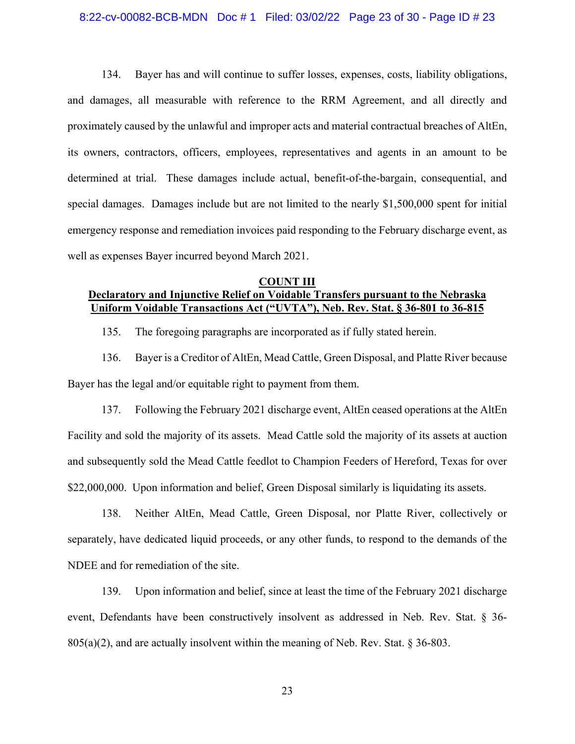#### 8:22-cv-00082-BCB-MDN Doc # 1 Filed: 03/02/22 Page 23 of 30 - Page ID # 23

134. Bayer has and will continue to suffer losses, expenses, costs, liability obligations, and damages, all measurable with reference to the RRM Agreement, and all directly and proximately caused by the unlawful and improper acts and material contractual breaches of AltEn, its owners, contractors, officers, employees, representatives and agents in an amount to be determined at trial. These damages include actual, benefit-of-the-bargain, consequential, and special damages. Damages include but are not limited to the nearly \$1,500,000 spent for initial emergency response and remediation invoices paid responding to the February discharge event, as well as expenses Bayer incurred beyond March 2021.

# **COUNT III Declaratory and Injunctive Relief on Voidable Transfers pursuant to the Nebraska Uniform Voidable Transactions Act ("UVTA"), Neb. Rev. Stat. § 36-801 to 36-815**

135. The foregoing paragraphs are incorporated as if fully stated herein.

136. Bayer is a Creditor of AltEn, Mead Cattle, Green Disposal, and Platte River because Bayer has the legal and/or equitable right to payment from them.

137. Following the February 2021 discharge event, AltEn ceased operations at the AltEn Facility and sold the majority of its assets. Mead Cattle sold the majority of its assets at auction and subsequently sold the Mead Cattle feedlot to Champion Feeders of Hereford, Texas for over \$22,000,000. Upon information and belief, Green Disposal similarly is liquidating its assets.

138. Neither AltEn, Mead Cattle, Green Disposal, nor Platte River, collectively or separately, have dedicated liquid proceeds, or any other funds, to respond to the demands of the NDEE and for remediation of the site.

139. Upon information and belief, since at least the time of the February 2021 discharge event, Defendants have been constructively insolvent as addressed in Neb. Rev. Stat. § 36-  $805(a)(2)$ , and are actually insolvent within the meaning of Neb. Rev. Stat. § 36-803.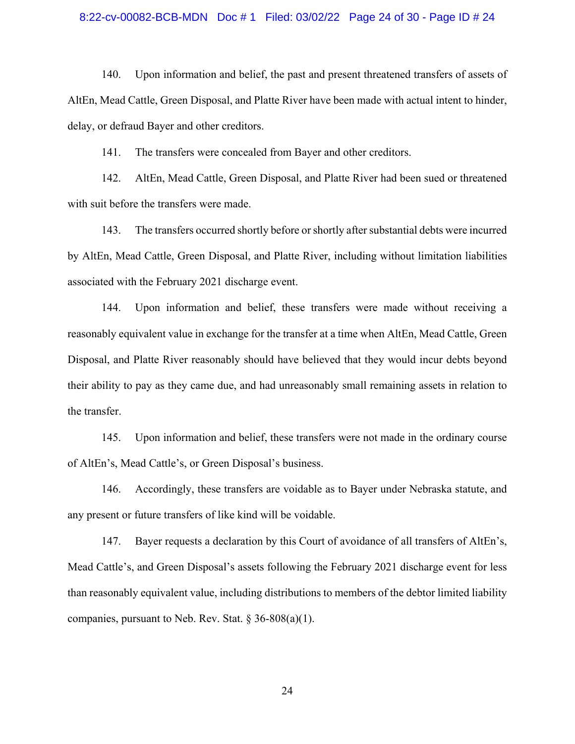## 8:22-cv-00082-BCB-MDN Doc # 1 Filed: 03/02/22 Page 24 of 30 - Page ID # 24

140. Upon information and belief, the past and present threatened transfers of assets of AltEn, Mead Cattle, Green Disposal, and Platte River have been made with actual intent to hinder, delay, or defraud Bayer and other creditors.

141. The transfers were concealed from Bayer and other creditors.

142. AltEn, Mead Cattle, Green Disposal, and Platte River had been sued or threatened with suit before the transfers were made.

143. The transfers occurred shortly before or shortly after substantial debts were incurred by AltEn, Mead Cattle, Green Disposal, and Platte River, including without limitation liabilities associated with the February 2021 discharge event.

144. Upon information and belief, these transfers were made without receiving a reasonably equivalent value in exchange for the transfer at a time when AltEn, Mead Cattle, Green Disposal, and Platte River reasonably should have believed that they would incur debts beyond their ability to pay as they came due, and had unreasonably small remaining assets in relation to the transfer.

145. Upon information and belief, these transfers were not made in the ordinary course of AltEn's, Mead Cattle's, or Green Disposal's business.

146. Accordingly, these transfers are voidable as to Bayer under Nebraska statute, and any present or future transfers of like kind will be voidable.

147. Bayer requests a declaration by this Court of avoidance of all transfers of AltEn's, Mead Cattle's, and Green Disposal's assets following the February 2021 discharge event for less than reasonably equivalent value, including distributions to members of the debtor limited liability companies, pursuant to Neb. Rev. Stat.  $\S 36-808(a)(1)$ .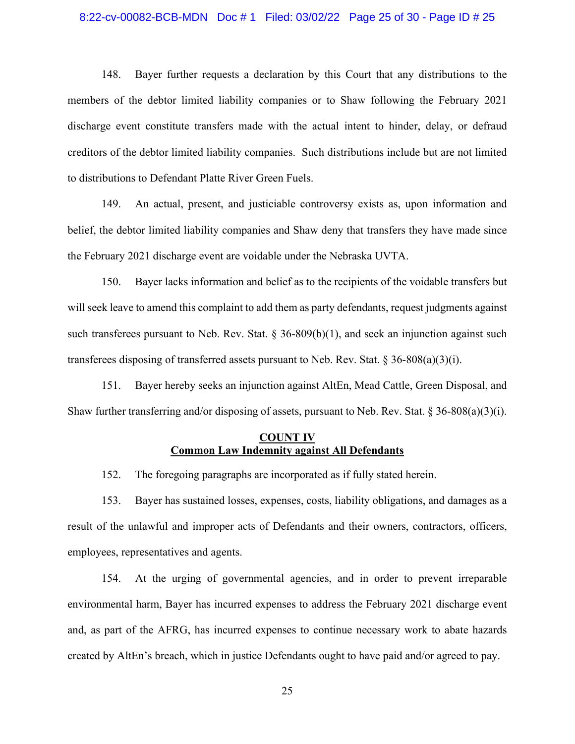## 8:22-cv-00082-BCB-MDN Doc # 1 Filed: 03/02/22 Page 25 of 30 - Page ID # 25

148. Bayer further requests a declaration by this Court that any distributions to the members of the debtor limited liability companies or to Shaw following the February 2021 discharge event constitute transfers made with the actual intent to hinder, delay, or defraud creditors of the debtor limited liability companies. Such distributions include but are not limited to distributions to Defendant Platte River Green Fuels.

149. An actual, present, and justiciable controversy exists as, upon information and belief, the debtor limited liability companies and Shaw deny that transfers they have made since the February 2021 discharge event are voidable under the Nebraska UVTA.

150. Bayer lacks information and belief as to the recipients of the voidable transfers but will seek leave to amend this complaint to add them as party defendants, request judgments against such transferees pursuant to Neb. Rev. Stat.  $\S 36-809(b)(1)$ , and seek an injunction against such transferees disposing of transferred assets pursuant to Neb. Rev. Stat.  $\S 36-808(a)(3)(i)$ .

151. Bayer hereby seeks an injunction against AltEn, Mead Cattle, Green Disposal, and Shaw further transferring and/or disposing of assets, pursuant to Neb. Rev. Stat. § 36-808(a)(3)(i).

# **COUNT IV Common Law Indemnity against All Defendants**

152. The foregoing paragraphs are incorporated as if fully stated herein.

153. Bayer has sustained losses, expenses, costs, liability obligations, and damages as a result of the unlawful and improper acts of Defendants and their owners, contractors, officers, employees, representatives and agents.

154. At the urging of governmental agencies, and in order to prevent irreparable environmental harm, Bayer has incurred expenses to address the February 2021 discharge event and, as part of the AFRG, has incurred expenses to continue necessary work to abate hazards created by AltEn's breach, which in justice Defendants ought to have paid and/or agreed to pay.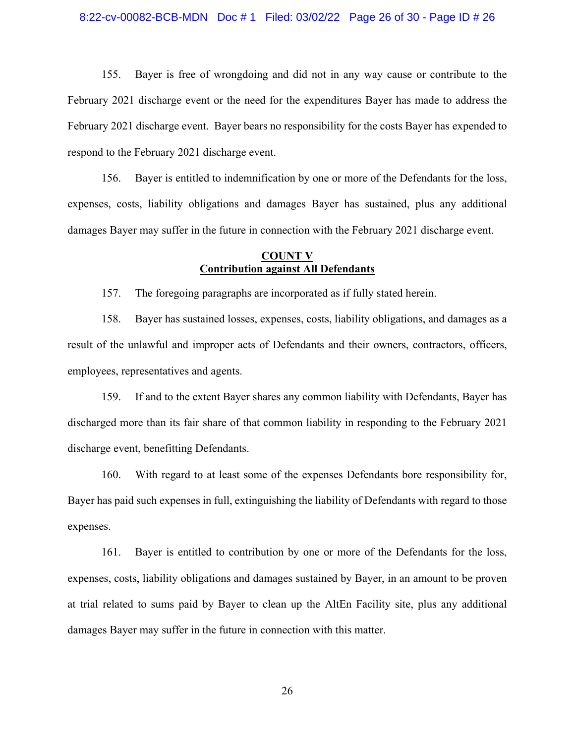#### 8:22-cv-00082-BCB-MDN Doc # 1 Filed: 03/02/22 Page 26 of 30 - Page ID # 26

155. Bayer is free of wrongdoing and did not in any way cause or contribute to the February 2021 discharge event or the need for the expenditures Bayer has made to address the February 2021 discharge event. Bayer bears no responsibility for the costs Bayer has expended to respond to the February 2021 discharge event.

156. Bayer is entitled to indemnification by one or more of the Defendants for the loss, expenses, costs, liability obligations and damages Bayer has sustained, plus any additional damages Bayer may suffer in the future in connection with the February 2021 discharge event.

# **COUNT V Contribution against All Defendants**

157. The foregoing paragraphs are incorporated as if fully stated herein.

158. Bayer has sustained losses, expenses, costs, liability obligations, and damages as a result of the unlawful and improper acts of Defendants and their owners, contractors, officers, employees, representatives and agents.

159. If and to the extent Bayer shares any common liability with Defendants, Bayer has discharged more than its fair share of that common liability in responding to the February 2021 discharge event, benefitting Defendants.

160. With regard to at least some of the expenses Defendants bore responsibility for, Bayer has paid such expenses in full, extinguishing the liability of Defendants with regard to those expenses.

161. Bayer is entitled to contribution by one or more of the Defendants for the loss, expenses, costs, liability obligations and damages sustained by Bayer, in an amount to be proven at trial related to sums paid by Bayer to clean up the AltEn Facility site, plus any additional damages Bayer may suffer in the future in connection with this matter.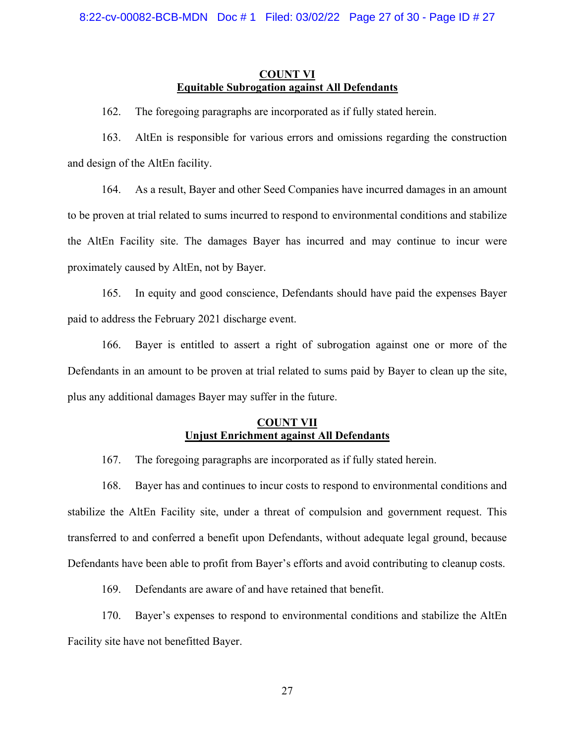# **COUNT VI Equitable Subrogation against All Defendants**

162. The foregoing paragraphs are incorporated as if fully stated herein.

163. AltEn is responsible for various errors and omissions regarding the construction and design of the AltEn facility.

164. As a result, Bayer and other Seed Companies have incurred damages in an amount to be proven at trial related to sums incurred to respond to environmental conditions and stabilize the AltEn Facility site. The damages Bayer has incurred and may continue to incur were proximately caused by AltEn, not by Bayer.

165. In equity and good conscience, Defendants should have paid the expenses Bayer paid to address the February 2021 discharge event.

166. Bayer is entitled to assert a right of subrogation against one or more of the Defendants in an amount to be proven at trial related to sums paid by Bayer to clean up the site, plus any additional damages Bayer may suffer in the future.

# **COUNT VII Unjust Enrichment against All Defendants**

167. The foregoing paragraphs are incorporated as if fully stated herein.

168. Bayer has and continues to incur costs to respond to environmental conditions and stabilize the AltEn Facility site, under a threat of compulsion and government request. This transferred to and conferred a benefit upon Defendants, without adequate legal ground, because Defendants have been able to profit from Bayer's efforts and avoid contributing to cleanup costs.

169. Defendants are aware of and have retained that benefit.

170. Bayer's expenses to respond to environmental conditions and stabilize the AltEn Facility site have not benefitted Bayer.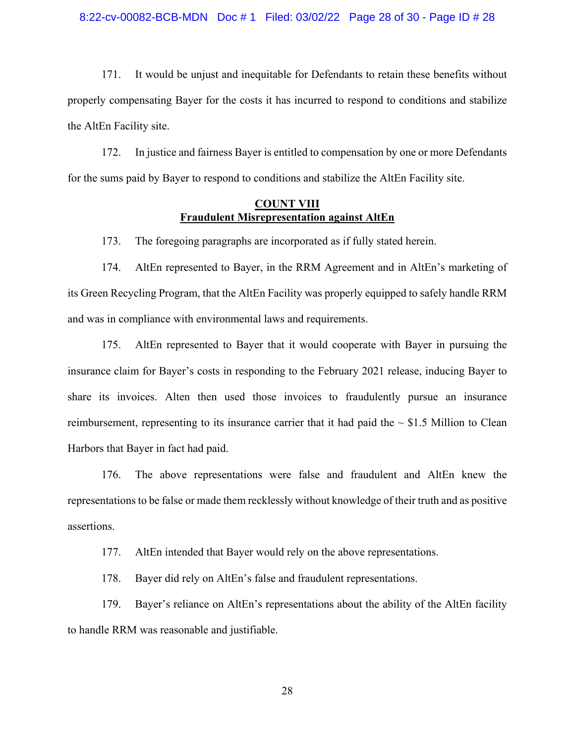#### 8:22-cv-00082-BCB-MDN Doc # 1 Filed: 03/02/22 Page 28 of 30 - Page ID # 28

171. It would be unjust and inequitable for Defendants to retain these benefits without properly compensating Bayer for the costs it has incurred to respond to conditions and stabilize the AltEn Facility site.

172. In justice and fairness Bayer is entitled to compensation by one or more Defendants for the sums paid by Bayer to respond to conditions and stabilize the AltEn Facility site.

# **COUNT VIII Fraudulent Misrepresentation against AltEn**

173. The foregoing paragraphs are incorporated as if fully stated herein.

174. AltEn represented to Bayer, in the RRM Agreement and in AltEn's marketing of its Green Recycling Program, that the AltEn Facility was properly equipped to safely handle RRM and was in compliance with environmental laws and requirements.

175. AltEn represented to Bayer that it would cooperate with Bayer in pursuing the insurance claim for Bayer's costs in responding to the February 2021 release, inducing Bayer to share its invoices. Alten then used those invoices to fraudulently pursue an insurance reimbursement, representing to its insurance carrier that it had paid the  $\sim$  \$1.5 Million to Clean Harbors that Bayer in fact had paid.

176. The above representations were false and fraudulent and AltEn knew the representations to be false or made them recklessly without knowledge of their truth and as positive assertions.

177. AltEn intended that Bayer would rely on the above representations.

178. Bayer did rely on AltEn's false and fraudulent representations.

179. Bayer's reliance on AltEn's representations about the ability of the AltEn facility to handle RRM was reasonable and justifiable.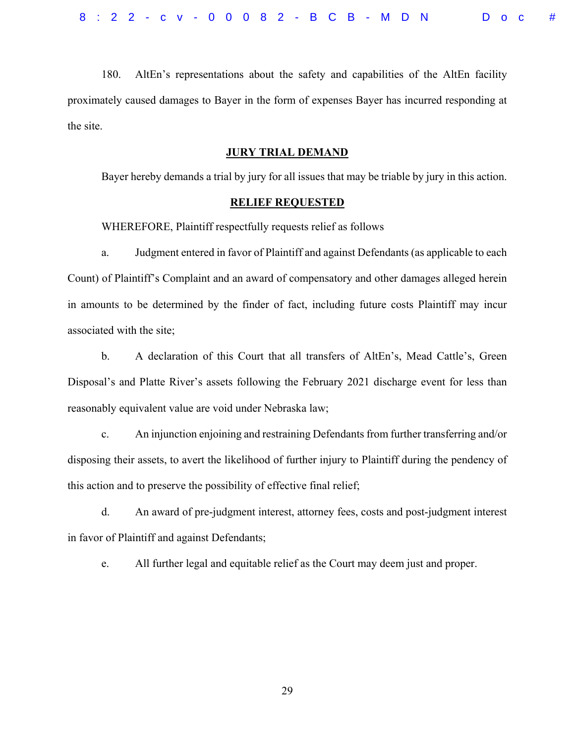180. AltEn's representations about the safety and capabilities of the AltEn facility proximately caused damages to Bayer in the form of expenses Bayer has incurred responding at the site.

# **JURY TRIAL DEMAND**

Bayer hereby demands a trial by jury for all issues that may be triable by jury in this action.

## **RELIEF REQUESTED**

WHEREFORE, Plaintiff respectfully requests relief as follows

a. Judgment entered in favor of Plaintiff and against Defendants (as applicable to each Count) of Plaintiff's Complaint and an award of compensatory and other damages alleged herein in amounts to be determined by the finder of fact, including future costs Plaintiff may incur associated with the site;

b. A declaration of this Court that all transfers of AltEn's, Mead Cattle's, Green Disposal's and Platte River's assets following the February 2021 discharge event for less than reasonably equivalent value are void under Nebraska law;

c. An injunction enjoining and restraining Defendants from further transferring and/or disposing their assets, to avert the likelihood of further injury to Plaintiff during the pendency of this action and to preserve the possibility of effective final relief;

d. An award of pre-judgment interest, attorney fees, costs and post-judgment interest in favor of Plaintiff and against Defendants;

e. All further legal and equitable relief as the Court may deem just and proper.